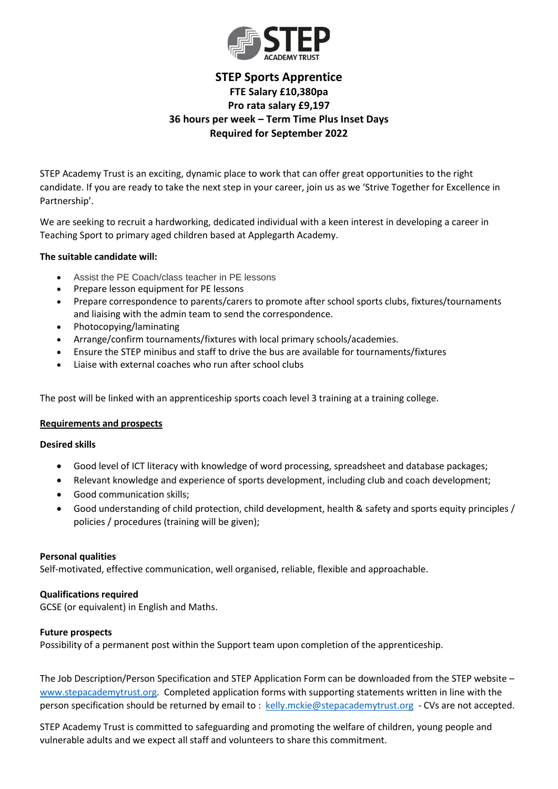

# **STEP Sports Apprentice FTE Salary £10,380pa Pro rata salary £9,197 36 hours per week – Term Time Plus Inset Days Required for September 2022**

STEP Academy Trust is an exciting, dynamic place to work that can offer great opportunities to the right candidate. If you are ready to take the next step in your career, join us as we 'Strive Together for Excellence in Partnership'.

We are seeking to recruit a hardworking, dedicated individual with a keen interest in developing a career in Teaching Sport to primary aged children based at Applegarth Academy.

## **The suitable candidate will:**

- Assist the PE Coach/class teacher in PE lessons
- Prepare lesson equipment for PE lessons
- Prepare correspondence to parents/carers to promote after school sports clubs, fixtures/tournaments and liaising with the admin team to send the correspondence.
- Photocopying/laminating
- Arrange/confirm tournaments/fixtures with local primary schools/academies.
- Ensure the STEP minibus and staff to drive the bus are available for tournaments/fixtures
- Liaise with external coaches who run after school clubs

The post will be linked with an apprenticeship sports coach level 3 training at a training college.

### **Requirements and prospects**

### **Desired skills**

- Good level of ICT literacy with knowledge of word processing, spreadsheet and database packages;
- Relevant knowledge and experience of sports development, including club and coach development;
- Good communication skills;
- Good understanding of child protection, child development, health & safety and sports equity principles / policies / procedures (training will be given);

### **Personal qualities**

Self-motivated, effective communication, well organised, reliable, flexible and approachable.

### **Qualifications required**

GCSE (or equivalent) in English and Maths.

### **Future prospects**

Possibility of a permanent post within the Support team upon completion of the apprenticeship.

The Job Description/Person Specification and STEP Application Form can be downloaded from the STEP website – [www.stepacademytrust.org.](http://www.stepacademytrust.org/) Completed application forms with supporting statements written in line with the person specification should be returned by email to : [kelly.mckie@stepacademytrust.org](mailto:kelly.mckie@stepacademytrust.org) - CVs are not accepted.

STEP Academy Trust is committed to safeguarding and promoting the welfare of children, young people and vulnerable adults and we expect all staff and volunteers to share this commitment.